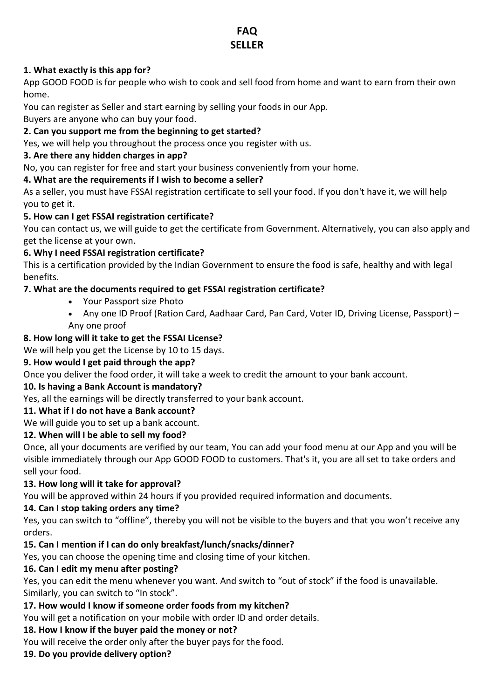# **FAQ SELLER**

#### **1. What exactly is this app for?**

App GOOD FOOD is for people who wish to cook and sell food from home and want to earn from their own home.

You can register as Seller and start earning by selling your foods in our App.

Buyers are anyone who can buy your food.

## **2. Can you support me from the beginning to get started?**

Yes, we will help you throughout the process once you register with us.

#### **3. Are there any hidden charges in app?**

No, you can register for free and start your business conveniently from your home.

#### **4. What are the requirements if I wish to become a seller?**

As a seller, you must have FSSAI registration certificate to sell your food. If you don't have it, we will help you to get it.

#### **5. How can I get FSSAI registration certificate?**

You can contact us, we will guide to get the certificate from Government. Alternatively, you can also apply and get the license at your own.

#### **6. Why I need FSSAI registration certificate?**

This is a certification provided by the Indian Government to ensure the food is safe, healthy and with legal benefits.

## **7. What are the documents required to get FSSAI registration certificate?**

- Your Passport size Photo
- Any one ID Proof (Ration Card, Aadhaar Card, Pan Card, Voter ID, Driving License, Passport) Any one proof

## **8. How long will it take to get the FSSAI License?**

We will help you get the License by 10 to 15 days.

## **9. How would I get paid through the app?**

Once you deliver the food order, it will take a week to credit the amount to your bank account.

## **10. Is having a Bank Account is mandatory?**

Yes, all the earnings will be directly transferred to your bank account.

## **11. What if I do not have a Bank account?**

We will guide you to set up a bank account.

## **12. When will I be able to sell my food?**

Once, all your documents are verified by our team, You can add your food menu at our App and you will be visible immediately through our App GOOD FOOD to customers. That's it, you are all set to take orders and sell your food.

#### **13. How long will it take for approval?**

You will be approved within 24 hours if you provided required information and documents.

#### **14. Can I stop taking orders any time?**

Yes, you can switch to "offline", thereby you will not be visible to the buyers and that you won't receive any orders.

## **15. Can I mention if I can do only breakfast/lunch/snacks/dinner?**

Yes, you can choose the opening time and closing time of your kitchen.

#### **16. Can I edit my menu after posting?**

Yes, you can edit the menu whenever you want. And switch to "out of stock" if the food is unavailable. Similarly, you can switch to "In stock".

## **17. How would I know if someone order foods from my kitchen?**

You will get a notification on your mobile with order ID and order details.

## **18. How I know if the buyer paid the money or not?**

You will receive the order only after the buyer pays for the food.

## **19. Do you provide delivery option?**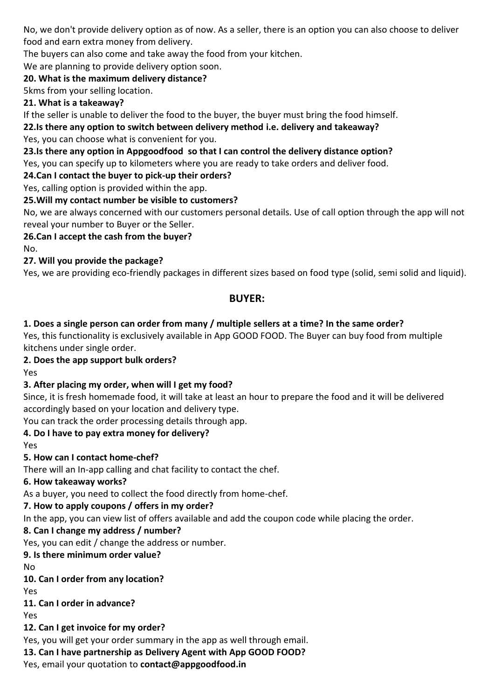No, we don't provide delivery option as of now. As a seller, there is an option you can also choose to deliver food and earn extra money from delivery.

The buyers can also come and take away the food from your kitchen.

We are planning to provide delivery option soon.

#### **20. What is the maximum delivery distance?**

5kms from your selling location.

#### **21. What is a takeaway?**

If the seller is unable to deliver the food to the buyer, the buyer must bring the food himself.

**22.Is there any option to switch between delivery method i.e. delivery and takeaway?**

Yes, you can choose what is convenient for you.

## **23.Is there any option in Appgoodfood so that I can control the delivery distance option?**

Yes, you can specify up to kilometers where you are ready to take orders and deliver food.

#### **24.Can I contact the buyer to pick-up their orders?**

Yes, calling option is provided within the app.

## **25.Will my contact number be visible to customers?**

No, we are always concerned with our customers personal details. Use of call option through the app will not reveal your number to Buyer or the Seller.

## **26.Can I accept the cash from the buyer?**

No.

# **27. Will you provide the package?**

Yes, we are providing eco-friendly packages in different sizes based on food type (solid, semi solid and liquid).

# **BUYER:**

## **1. Does a single person can order from many / multiple sellers at a time? In the same order?**

Yes, this functionality is exclusively available in App GOOD FOOD. The Buyer can buy food from multiple kitchens under single order.

## **2. Does the app support bulk orders?**

Yes

# **3. After placing my order, when will I get my food?**

Since, it is fresh homemade food, it will take at least an hour to prepare the food and it will be delivered accordingly based on your location and delivery type.

You can track the order processing details through app.

# **4. Do I have to pay extra money for delivery?**

Yes

## **5. How can I contact home-chef?**

There will an In-app calling and chat facility to contact the chef.

## **6. How takeaway works?**

As a buyer, you need to collect the food directly from home-chef.

# **7. How to apply coupons / offers in my order?**

In the app, you can view list of offers available and add the coupon code while placing the order.

# **8. Can I change my address / number?**

Yes, you can edit / change the address or number.

# **9. Is there minimum order value?**

No

# **10. Can I order from any location?**

Yes

## **11. Can I order in advance?**

Yes

# **12. Can I get invoice for my order?**

Yes, you will get your order summary in the app as well through email.

**13. Can I have partnership as Delivery Agent with App GOOD FOOD?**

Yes, email your quotation to **contact@appgoodfood.in**